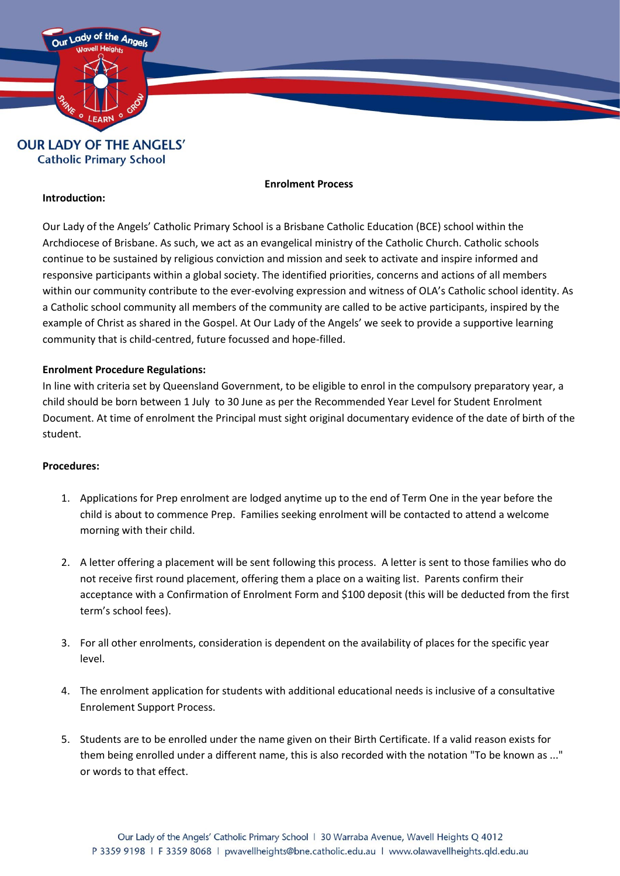

**Catholic Primary School** 

## **Enrolment Process**

## **Introduction:**

Our Lady of the Angels' Catholic Primary School is a Brisbane Catholic Education (BCE) school within the Archdiocese of Brisbane. As such, we act as an evangelical ministry of the Catholic Church. Catholic schools continue to be sustained by religious conviction and mission and seek to activate and inspire informed and responsive participants within a global society. The identified priorities, concerns and actions of all members within our community contribute to the ever-evolving expression and witness of OLA's Catholic school identity. As a Catholic school community all members of the community are called to be active participants, inspired by the example of Christ as shared in the Gospel. At Our Lady of the Angels' we seek to provide a supportive learning community that is child-centred, future focussed and hope-filled.

## **Enrolment Procedure Regulations:**

In line with criteria set by Queensland Government, to be eligible to enrol in the compulsory preparatory year, a child should be born between 1 July to 30 June as per the Recommended Year Level for Student Enrolment Document. At time of enrolment the Principal must sight original documentary evidence of the date of birth of the student.

## **Procedures:**

- 1. Applications for Prep enrolment are lodged anytime up to the end of Term One in the year before the child is about to commence Prep. Families seeking enrolment will be contacted to attend a welcome morning with their child.
- 2. A letter offering a placement will be sent following this process. A letter is sent to those families who do not receive first round placement, offering them a place on a waiting list. Parents confirm their acceptance with a Confirmation of Enrolment Form and \$100 deposit (this will be deducted from the first term's school fees).
- 3. For all other enrolments, consideration is dependent on the availability of places for the specific year level.
- 4. The enrolment application for students with additional educational needs is inclusive of a consultative Enrolement Support Process.
- 5. Students are to be enrolled under the name given on their Birth Certificate. If a valid reason exists for them being enrolled under a different name, this is also recorded with the notation "To be known as ..." or words to that effect.